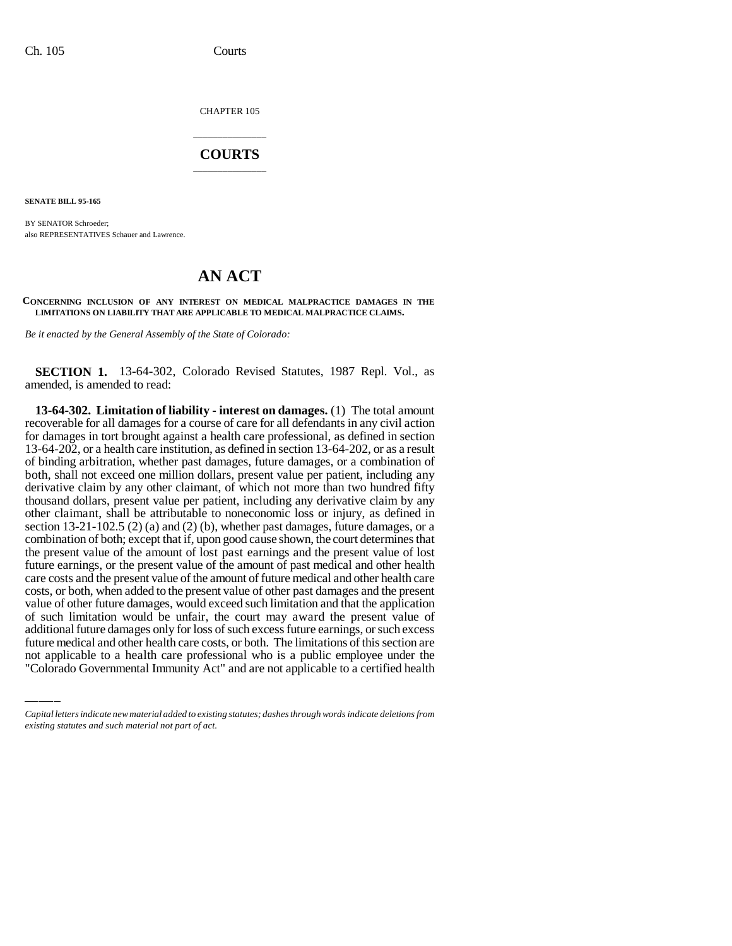CHAPTER 105

## \_\_\_\_\_\_\_\_\_\_\_\_\_\_\_ **COURTS** \_\_\_\_\_\_\_\_\_\_\_\_\_\_\_

**SENATE BILL 95-165**

BY SENATOR Schroeder; also REPRESENTATIVES Schauer and Lawrence.

## **AN ACT**

## **CONCERNING INCLUSION OF ANY INTEREST ON MEDICAL MALPRACTICE DAMAGES IN THE LIMITATIONS ON LIABILITY THAT ARE APPLICABLE TO MEDICAL MALPRACTICE CLAIMS.**

*Be it enacted by the General Assembly of the State of Colorado:*

**SECTION 1.** 13-64-302, Colorado Revised Statutes, 1987 Repl. Vol., as amended, is amended to read:

of such limitation would be unfair, the court may award the present value of **13-64-302. Limitation of liability - interest on damages.** (1) The total amount recoverable for all damages for a course of care for all defendants in any civil action for damages in tort brought against a health care professional, as defined in section 13-64-202, or a health care institution, as defined in section 13-64-202, or as a result of binding arbitration, whether past damages, future damages, or a combination of both, shall not exceed one million dollars, present value per patient, including any derivative claim by any other claimant, of which not more than two hundred fifty thousand dollars, present value per patient, including any derivative claim by any other claimant, shall be attributable to noneconomic loss or injury, as defined in section 13-21-102.5 (2) (a) and (2) (b), whether past damages, future damages, or a combination of both; except that if, upon good cause shown, the court determines that the present value of the amount of lost past earnings and the present value of lost future earnings, or the present value of the amount of past medical and other health care costs and the present value of the amount of future medical and other health care costs, or both, when added to the present value of other past damages and the present value of other future damages, would exceed such limitation and that the application additional future damages only for loss of such excess future earnings, or such excess future medical and other health care costs, or both. The limitations of this section are not applicable to a health care professional who is a public employee under the "Colorado Governmental Immunity Act" and are not applicable to a certified health

*Capital letters indicate new material added to existing statutes; dashes through words indicate deletions from existing statutes and such material not part of act.*